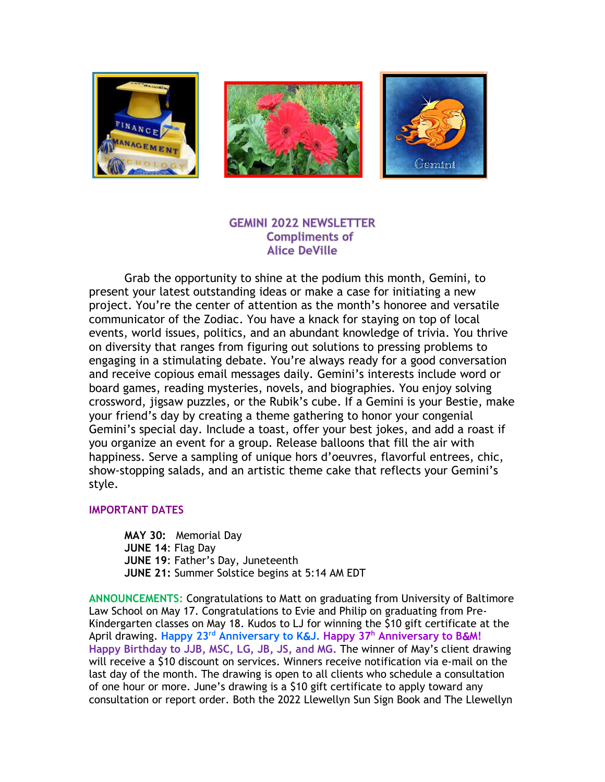

### **GEMINI 2022 NEWSLETTER Compliments of Alice DeVille**

Grab the opportunity to shine at the podium this month, Gemini, to present your latest outstanding ideas or make a case for initiating a new project. You're the center of attention as the month's honoree and versatile communicator of the Zodiac. You have a knack for staying on top of local events, world issues, politics, and an abundant knowledge of trivia. You thrive on diversity that ranges from figuring out solutions to pressing problems to engaging in a stimulating debate. You're always ready for a good conversation and receive copious email messages daily. Gemini's interests include word or board games, reading mysteries, novels, and biographies. You enjoy solving crossword, jigsaw puzzles, or the Rubik's cube. If a Gemini is your Bestie, make your friend's day by creating a theme gathering to honor your congenial Gemini's special day. Include a toast, offer your best jokes, and add a roast if you organize an event for a group. Release balloons that fill the air with happiness. Serve a sampling of unique hors d'oeuvres, flavorful entrees, chic, show-stopping salads, and an artistic theme cake that reflects your Gemini's style.

### **IMPORTANT DATES**

**MAY 30:** Memorial Day **JUNE 14**: Flag Day **JUNE 19**: Father's Day, Juneteenth **JUNE 21:** Summer Solstice begins at 5:14 AM EDT

**ANNOUNCEMENTS:** Congratulations to Matt on graduating from University of Baltimore Law School on May 17. Congratulations to Evie and Philip on graduating from Pre-Kindergarten classes on May 18. Kudos to LJ for winning the \$10 gift certificate at the April drawing. **Happy 23 rd Anniversary to K**&**J. Happy 37 <sup>h</sup> Anniversary to B**&**M! Happy Birthday to JJB, MSC, LG, JB, JS, and MG.** The winner of May's client drawing will receive a \$10 discount on services. Winners receive notification via e-mail on the last day of the month. The drawing is open to all clients who schedule a consultation of one hour or more. June's drawing is a \$10 gift certificate to apply toward any consultation or report order. Both the 2022 Llewellyn Sun Sign Book and The Llewellyn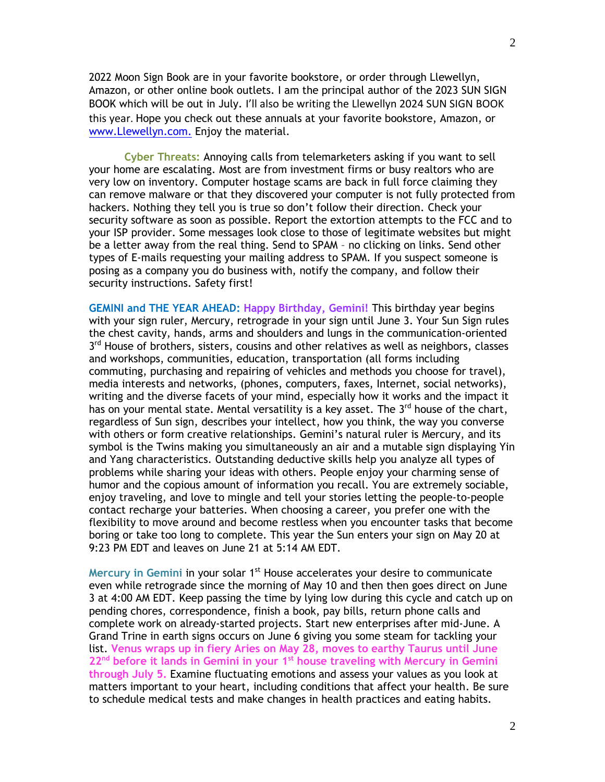2022 Moon Sign Book are in your favorite bookstore, or order through Llewellyn, Amazon, or other online book outlets. I am the principal author of the 2023 SUN SIGN BOOK which will be out in July. I'll also be writing the Llewellyn 2024 SUN SIGN BOOK this year. Hope you check out these annuals at your favorite bookstore, Amazon, or [www.Llewellyn.com.](http://www.llewellyn.com/) Enjoy the material.

**Cyber Threats:** Annoying calls from telemarketers asking if you want to sell your home are escalating. Most are from investment firms or busy realtors who are very low on inventory. Computer hostage scams are back in full force claiming they can remove malware or that they discovered your computer is not fully protected from hackers. Nothing they tell you is true so don't follow their direction. Check your security software as soon as possible. Report the extortion attempts to the FCC and to your ISP provider. Some messages look close to those of legitimate websites but might be a letter away from the real thing. Send to SPAM – no clicking on links. Send other types of E-mails requesting your mailing address to SPAM. If you suspect someone is posing as a company you do business with, notify the company, and follow their security instructions. Safety first!

**GEMINI and THE YEAR AHEAD: Happy Birthday, Gemini!** This birthday year begins with your sign ruler, Mercury, retrograde in your sign until June 3. Your Sun Sign rules the chest cavity, hands, arms and shoulders and lungs in the communication-oriented 3<sup>rd</sup> House of brothers, sisters, cousins and other relatives as well as neighbors, classes and workshops, communities, education, transportation (all forms including commuting, purchasing and repairing of vehicles and methods you choose for travel), media interests and networks, (phones, computers, faxes, Internet, social networks), writing and the diverse facets of your mind, especially how it works and the impact it has on your mental state. Mental versatility is a key asset. The 3<sup>rd</sup> house of the chart, regardless of Sun sign, describes your intellect, how you think, the way you converse with others or form creative relationships. Gemini's natural ruler is Mercury, and its symbol is the Twins making you simultaneously an air and a mutable sign displaying Yin and Yang characteristics. Outstanding deductive skills help you analyze all types of problems while sharing your ideas with others. People enjoy your charming sense of humor and the copious amount of information you recall. You are extremely sociable, enjoy traveling, and love to mingle and tell your stories letting the people-to-people contact recharge your batteries. When choosing a career, you prefer one with the flexibility to move around and become restless when you encounter tasks that become boring or take too long to complete. This year the Sun enters your sign on May 20 at 9:23 PM EDT and leaves on June 21 at 5:14 AM EDT.

Mercury in Gemini in your solar 1<sup>st</sup> House accelerates your desire to communicate even while retrograde since the morning of May 10 and then then goes direct on June 3 at 4:00 AM EDT. Keep passing the time by lying low during this cycle and catch up on pending chores, correspondence, finish a book, pay bills, return phone calls and complete work on already-started projects. Start new enterprises after mid-June. A Grand Trine in earth signs occurs on June 6 giving you some steam for tackling your list. **Venus wraps up in fiery Aries on May 28, moves to earthy Taurus until June 22nd before it lands in Gemini in your 1st house traveling with Mercury in Gemini through July 5.** Examine fluctuating emotions and assess your values as you look at matters important to your heart, including conditions that affect your health. Be sure to schedule medical tests and make changes in health practices and eating habits.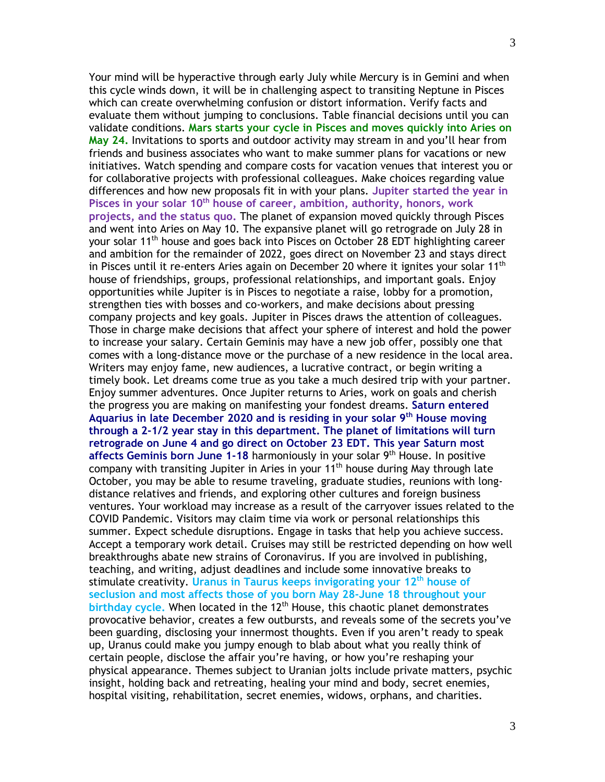Your mind will be hyperactive through early July while Mercury is in Gemini and when this cycle winds down, it will be in challenging aspect to transiting Neptune in Pisces which can create overwhelming confusion or distort information. Verify facts and evaluate them without jumping to conclusions. Table financial decisions until you can validate conditions. **Mars starts your cycle in Pisces and moves quickly into Aries on May 24.** Invitations to sports and outdoor activity may stream in and you'll hear from friends and business associates who want to make summer plans for vacations or new initiatives. Watch spending and compare costs for vacation venues that interest you or for collaborative projects with professional colleagues. Make choices regarding value differences and how new proposals fit in with your plans. **Jupiter started the year in Pisces in your solar 10th house of career, ambition, authority, honors, work projects, and the status quo.** The planet of expansion moved quickly through Pisces and went into Aries on May 10. The expansive planet will go retrograde on July 28 in your solar 11th house and goes back into Pisces on October 28 EDT highlighting career and ambition for the remainder of 2022, goes direct on November 23 and stays direct in Pisces until it re-enters Aries again on December 20 where it ignites your solar  $11<sup>th</sup>$ house of friendships, groups, professional relationships, and important goals. Enjoy opportunities while Jupiter is in Pisces to negotiate a raise, lobby for a promotion, strengthen ties with bosses and co-workers, and make decisions about pressing company projects and key goals. Jupiter in Pisces draws the attention of colleagues. Those in charge make decisions that affect your sphere of interest and hold the power to increase your salary. Certain Geminis may have a new job offer, possibly one that comes with a long-distance move or the purchase of a new residence in the local area. Writers may enjoy fame, new audiences, a lucrative contract, or begin writing a timely book. Let dreams come true as you take a much desired trip with your partner. Enjoy summer adventures. Once Jupiter returns to Aries, work on goals and cherish the progress you are making on manifesting your fondest dreams. **Saturn entered Aquarius in late December 2020 and is residing in your solar 9th House moving through a 2-1/2 year stay in this department. The planet of limitations will turn retrograde on June 4 and go direct on October 23 EDT. This year Saturn most affects Geminis born June 1-18** harmoniously in your solar 9th House. In positive company with transiting Jupiter in Aries in your 11<sup>th</sup> house during May through late October, you may be able to resume traveling, graduate studies, reunions with longdistance relatives and friends, and exploring other cultures and foreign business ventures. Your workload may increase as a result of the carryover issues related to the COVID Pandemic. Visitors may claim time via work or personal relationships this summer. Expect schedule disruptions. Engage in tasks that help you achieve success. Accept a temporary work detail. Cruises may still be restricted depending on how well breakthroughs abate new strains of Coronavirus. If you are involved in publishing, teaching, and writing, adjust deadlines and include some innovative breaks to stimulate creativity. **Uranus in Taurus keeps invigorating your 12th house of seclusion and most affects those of you born May 28-June 18 throughout your**  birthday cycle. When located in the 12<sup>th</sup> House, this chaotic planet demonstrates provocative behavior, creates a few outbursts, and reveals some of the secrets you've been guarding, disclosing your innermost thoughts. Even if you aren't ready to speak up, Uranus could make you jumpy enough to blab about what you really think of certain people, disclose the affair you're having, or how you're reshaping your physical appearance. Themes subject to Uranian jolts include private matters, psychic insight, holding back and retreating, healing your mind and body, secret enemies, hospital visiting, rehabilitation, secret enemies, widows, orphans, and charities.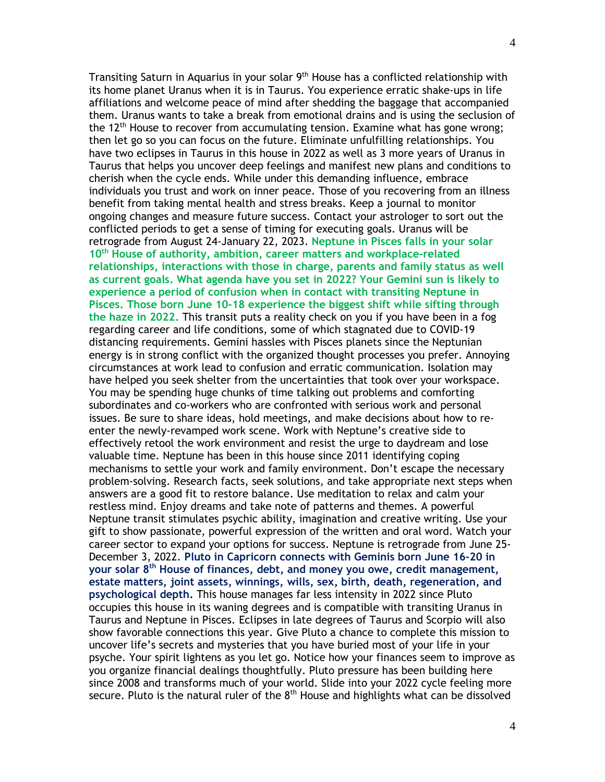Transiting Saturn in Aquarius in your solar  $9<sup>th</sup>$  House has a conflicted relationship with its home planet Uranus when it is in Taurus. You experience erratic shake-ups in life affiliations and welcome peace of mind after shedding the baggage that accompanied them. Uranus wants to take a break from emotional drains and is using the seclusion of the 12<sup>th</sup> House to recover from accumulating tension. Examine what has gone wrong; then let go so you can focus on the future. Eliminate unfulfilling relationships. You have two eclipses in Taurus in this house in 2022 as well as 3 more years of Uranus in Taurus that helps you uncover deep feelings and manifest new plans and conditions to cherish when the cycle ends. While under this demanding influence, embrace individuals you trust and work on inner peace. Those of you recovering from an illness benefit from taking mental health and stress breaks. Keep a journal to monitor ongoing changes and measure future success. Contact your astrologer to sort out the conflicted periods to get a sense of timing for executing goals. Uranus will be retrograde from August 24-January 22, 2023. **Neptune in Pisces falls in your solar 10th House of authority, ambition, career matters and workplace-related relationships, interactions with those in charge, parents and family status as well as current goals. What agenda have you set in 2022? Your Gemini sun is likely to experience a period of confusion when in contact with transiting Neptune in Pisces. Those born June 10-18 experience the biggest shift while sifting through the haze in 2022.** This transit puts a reality check on you if you have been in a fog regarding career and life conditions, some of which stagnated due to COVID-19 distancing requirements. Gemini hassles with Pisces planets since the Neptunian energy is in strong conflict with the organized thought processes you prefer. Annoying circumstances at work lead to confusion and erratic communication. Isolation may have helped you seek shelter from the uncertainties that took over your workspace. You may be spending huge chunks of time talking out problems and comforting subordinates and co-workers who are confronted with serious work and personal issues. Be sure to share ideas, hold meetings, and make decisions about how to reenter the newly-revamped work scene. Work with Neptune's creative side to effectively retool the work environment and resist the urge to daydream and lose valuable time. Neptune has been in this house since 2011 identifying coping mechanisms to settle your work and family environment. Don't escape the necessary problem-solving. Research facts, seek solutions, and take appropriate next steps when answers are a good fit to restore balance. Use meditation to relax and calm your restless mind. Enjoy dreams and take note of patterns and themes. A powerful Neptune transit stimulates psychic ability, imagination and creative writing. Use your gift to show passionate, powerful expression of the written and oral word. Watch your career sector to expand your options for success. Neptune is retrograde from June 25- December 3, 2022. **Pluto in Capricorn connects with Geminis born June 16-20 in your solar 8 th House of finances, debt, and money you owe, credit management, estate matters, joint assets, winnings, wills, sex, birth, death, regeneration, and psychological depth.** This house manages far less intensity in 2022 since Pluto occupies this house in its waning degrees and is compatible with transiting Uranus in Taurus and Neptune in Pisces. Eclipses in late degrees of Taurus and Scorpio will also show favorable connections this year. Give Pluto a chance to complete this mission to uncover life's secrets and mysteries that you have buried most of your life in your psyche. Your spirit lightens as you let go. Notice how your finances seem to improve as you organize financial dealings thoughtfully. Pluto pressure has been building here since 2008 and transforms much of your world. Slide into your 2022 cycle feeling more secure. Pluto is the natural ruler of the  $8<sup>th</sup>$  House and highlights what can be dissolved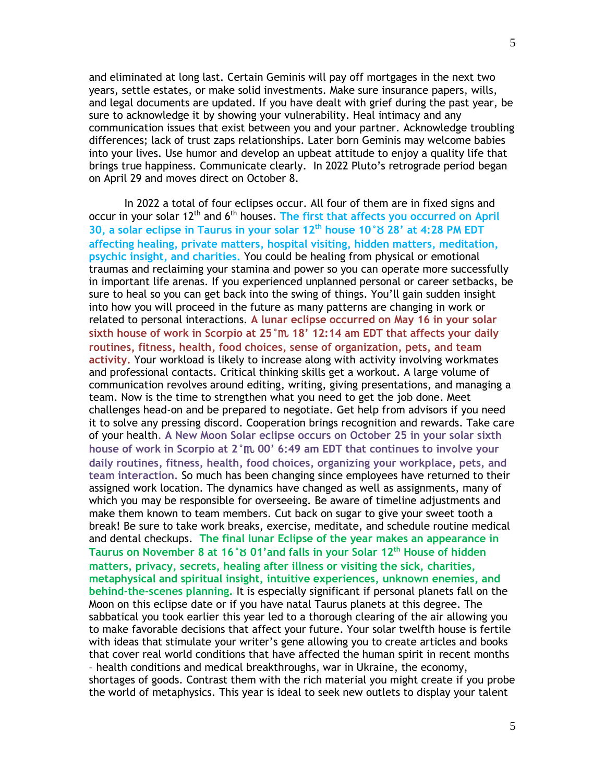and eliminated at long last. Certain Geminis will pay off mortgages in the next two years, settle estates, or make solid investments. Make sure insurance papers, wills, and legal documents are updated. If you have dealt with grief during the past year, be sure to acknowledge it by showing your vulnerability. Heal intimacy and any communication issues that exist between you and your partner. Acknowledge troubling differences; lack of trust zaps relationships. Later born Geminis may welcome babies into your lives. Use humor and develop an upbeat attitude to enjoy a quality life that brings true happiness. Communicate clearly. In 2022 Pluto's retrograde period began on April 29 and moves direct on October 8.

In 2022 a total of four eclipses occur. All four of them are in fixed signs and occur in your solar 12<sup>th</sup> and 6<sup>th</sup> houses. The first that affects you occurred on April **30, a solar eclipse in Taurus in your solar 12th house 10°**b **28' at 4:28 PM EDT affecting healing, private matters, hospital visiting, hidden matters, meditation, psychic insight, and charities.** You could be healing from physical or emotional traumas and reclaiming your stamina and power so you can operate more successfully in important life arenas. If you experienced unplanned personal or career setbacks, be sure to heal so you can get back into the swing of things. You'll gain sudden insight into how you will proceed in the future as many patterns are changing in work or related to personal interactions. **A lunar eclipse occurred on May 16 in your solar sixth house of work in Scorpio at 25°**h **18' 12:14 am EDT that affects your daily routines, fitness, health, food choices, sense of organization, pets, and team activity.** Your workload is likely to increase along with activity involving workmates and professional contacts. Critical thinking skills get a workout. A large volume of communication revolves around editing, writing, giving presentations, and managing a team. Now is the time to strengthen what you need to get the job done. Meet challenges head-on and be prepared to negotiate. Get help from advisors if you need it to solve any pressing discord. Cooperation brings recognition and rewards. Take care of your health. **A New Moon Solar eclipse occurs on October 25 in your solar sixth house of work in Scorpio at 2°**h **00' 6:49 am EDT that continues to involve your daily routines, fitness, health, food choices, organizing your workplace, pets, and team interaction.** So much has been changing since employees have returned to their assigned work location. The dynamics have changed as well as assignments, many of which you may be responsible for overseeing. Be aware of timeline adjustments and make them known to team members. Cut back on sugar to give your sweet tooth a break! Be sure to take work breaks, exercise, meditate, and schedule routine medical and dental checkups. **The final lunar Eclipse of the year makes an appearance in Taurus on November 8 at 16°**b **01'and falls in your Solar 12th House of hidden matters, privacy, secrets, healing after illness or visiting the sick, charities, metaphysical and spiritual insight, intuitive experiences, unknown enemies, and behind-the-scenes planning.** It is especially significant if personal planets fall on the Moon on this eclipse date or if you have natal Taurus planets at this degree. The sabbatical you took earlier this year led to a thorough clearing of the air allowing you to make favorable decisions that affect your future. Your solar twelfth house is fertile with ideas that stimulate your writer's gene allowing you to create articles and books that cover real world conditions that have affected the human spirit in recent months – health conditions and medical breakthroughs, war in Ukraine, the economy, shortages of goods. Contrast them with the rich material you might create if you probe the world of metaphysics. This year is ideal to seek new outlets to display your talent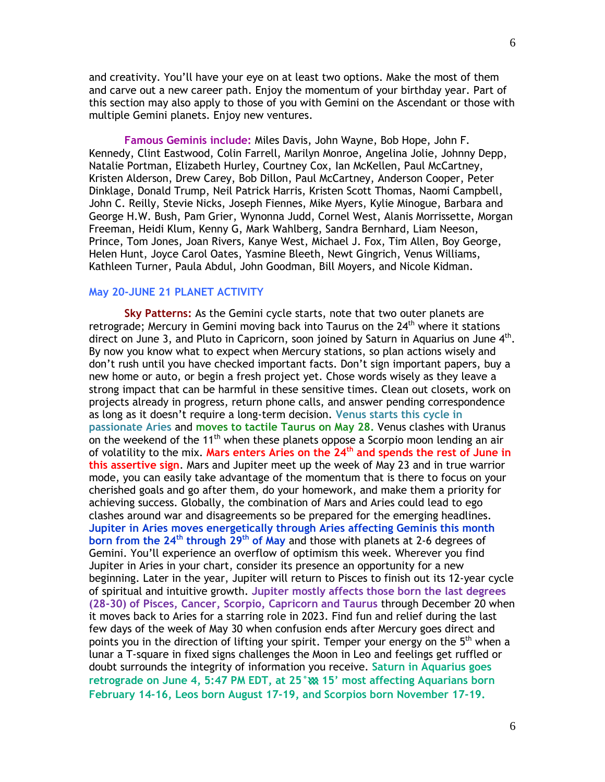and creativity. You'll have your eye on at least two options. Make the most of them and carve out a new career path. Enjoy the momentum of your birthday year. Part of this section may also apply to those of you with Gemini on the Ascendant or those with multiple Gemini planets. Enjoy new ventures.

**Famous Geminis include:** Miles Davis, John Wayne, Bob Hope, John F. Kennedy, Clint Eastwood, Colin Farrell, Marilyn Monroe, Angelina Jolie, Johnny Depp, Natalie Portman, Elizabeth Hurley, Courtney Cox, Ian McKellen, Paul McCartney, Kristen Alderson, Drew Carey, Bob Dillon, Paul McCartney, Anderson Cooper, Peter Dinklage, Donald Trump, Neil Patrick Harris, Kristen Scott Thomas, Naomi Campbell, John C. Reilly, Stevie Nicks, Joseph Fiennes, Mike Myers, Kylie Minogue, Barbara and George H.W. Bush, Pam Grier, Wynonna Judd, Cornel West, Alanis Morrissette, Morgan Freeman, Heidi Klum, Kenny G, Mark Wahlberg, Sandra Bernhard, Liam Neeson, Prince, Tom Jones, Joan Rivers, Kanye West, Michael J. Fox, Tim Allen, Boy George, Helen Hunt, Joyce Carol Oates, Yasmine Bleeth, Newt Gingrich, Venus Williams, Kathleen Turner, Paula Abdul, John Goodman, Bill Moyers, and Nicole Kidman.

#### **May 20-JUNE 21 PLANET ACTIVITY**

**Sky Patterns:** As the Gemini cycle starts, note that two outer planets are retrograde; Mercury in Gemini moving back into Taurus on the 24<sup>th</sup> where it stations direct on June 3, and Pluto in Capricorn, soon joined by Saturn in Aquarius on June 4<sup>th</sup>. By now you know what to expect when Mercury stations, so plan actions wisely and don't rush until you have checked important facts. Don't sign important papers, buy a new home or auto, or begin a fresh project yet. Chose words wisely as they leave a strong impact that can be harmful in these sensitive times. Clean out closets, work on projects already in progress, return phone calls, and answer pending correspondence as long as it doesn't require a long-term decision. **Venus starts this cycle in passionate Aries** and **moves to tactile Taurus on May 28.** Venus clashes with Uranus on the weekend of the  $11<sup>th</sup>$  when these planets oppose a Scorpio moon lending an air of volatility to the mix. **Mars enters Aries on the 24th and spends the rest of June in this assertive sign**. Mars and Jupiter meet up the week of May 23 and in true warrior mode, you can easily take advantage of the momentum that is there to focus on your cherished goals and go after them, do your homework, and make them a priority for achieving success. Globally, the combination of Mars and Aries could lead to ego clashes around war and disagreements so be prepared for the emerging headlines. **Jupiter in Aries moves energetically through Aries affecting Geminis this month born from the 24th through 29th of May** and those with planets at 2-6 degrees of Gemini. You'll experience an overflow of optimism this week. Wherever you find Jupiter in Aries in your chart, consider its presence an opportunity for a new beginning. Later in the year, Jupiter will return to Pisces to finish out its 12-year cycle of spiritual and intuitive growth. **Jupiter mostly affects those born the last degrees (28-30) of Pisces, Cancer, Scorpio, Capricorn and Taurus** through December 20 when it moves back to Aries for a starring role in 2023. Find fun and relief during the last few days of the week of May 30 when confusion ends after Mercury goes direct and points you in the direction of lifting your spirit. Temper your energy on the 5<sup>th</sup> when a lunar a T-square in fixed signs challenges the Moon in Leo and feelings get ruffled or doubt surrounds the integrity of information you receive. **Saturn in Aquarius goes retrograde on June 4, 5:47 PM EDT, at 25°**k **15' most affecting Aquarians born February 14-16, Leos born August 17-19, and Scorpios born November 17-19.**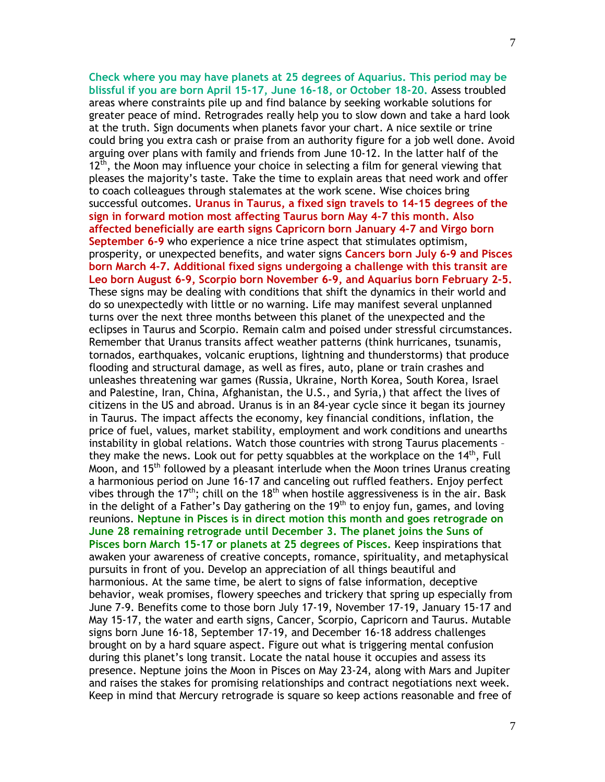**Check where you may have planets at 25 degrees of Aquarius. This period may be blissful if you are born April 15-17, June 16-18, or October 18-20.** Assess troubled areas where constraints pile up and find balance by seeking workable solutions for greater peace of mind. Retrogrades really help you to slow down and take a hard look at the truth. Sign documents when planets favor your chart. A nice sextile or trine could bring you extra cash or praise from an authority figure for a job well done. Avoid arguing over plans with family and friends from June 10-12. In the latter half of the  $12<sup>th</sup>$ , the Moon may influence your choice in selecting a film for general viewing that pleases the majority's taste. Take the time to explain areas that need work and offer to coach colleagues through stalemates at the work scene. Wise choices bring successful outcomes. **Uranus in Taurus, a fixed sign travels to 14-15 degrees of the sign in forward motion most affecting Taurus born May 4-7 this month. Also affected beneficially are earth signs Capricorn born January 4-7 and Virgo born September 6-9** who experience a nice trine aspect that stimulates optimism, prosperity, or unexpected benefits, and water signs **Cancers born July 6-9 and Pisces born March 4-7. Additional fixed signs undergoing a challenge with this transit are Leo born August 6-9, Scorpio born November 6-9, and Aquarius born February 2-5.** These signs may be dealing with conditions that shift the dynamics in their world and do so unexpectedly with little or no warning. Life may manifest several unplanned turns over the next three months between this planet of the unexpected and the eclipses in Taurus and Scorpio. Remain calm and poised under stressful circumstances. Remember that Uranus transits affect weather patterns (think hurricanes, tsunamis, tornados, earthquakes, volcanic eruptions, lightning and thunderstorms) that produce flooding and structural damage, as well as fires, auto, plane or train crashes and unleashes threatening war games (Russia, Ukraine, North Korea, South Korea, Israel and Palestine, Iran, China, Afghanistan, the U.S., and Syria,) that affect the lives of citizens in the US and abroad. Uranus is in an 84-year cycle since it began its journey in Taurus. The impact affects the economy, key financial conditions, inflation, the price of fuel, values, market stability, employment and work conditions and unearths instability in global relations. Watch those countries with strong Taurus placements – they make the news. Look out for petty squabbles at the workplace on the 14<sup>th</sup>, Full Moon, and 15<sup>th</sup> followed by a pleasant interlude when the Moon trines Uranus creating a harmonious period on June 16-17 and canceling out ruffled feathers. Enjoy perfect vibes through the 17<sup>th</sup>; chill on the 18<sup>th</sup> when hostile aggressiveness is in the air. Bask in the delight of a Father's Day gathering on the  $19<sup>th</sup>$  to enjoy fun, games, and loving reunions. **Neptune in Pisces is in direct motion this month and goes retrograde on June 28 remaining retrograde until December 3. The planet joins the Suns of Pisces born March 15-17 or planets at 25 degrees of Pisces.** Keep inspirations that awaken your awareness of creative concepts, romance, spirituality, and metaphysical pursuits in front of you. Develop an appreciation of all things beautiful and harmonious. At the same time, be alert to signs of false information, deceptive behavior, weak promises, flowery speeches and trickery that spring up especially from June 7-9. Benefits come to those born July 17-19, November 17-19, January 15-17 and May 15-17, the water and earth signs, Cancer, Scorpio, Capricorn and Taurus. Mutable signs born June 16-18, September 17-19, and December 16-18 address challenges brought on by a hard square aspect. Figure out what is triggering mental confusion during this planet's long transit. Locate the natal house it occupies and assess its presence. Neptune joins the Moon in Pisces on May 23-24, along with Mars and Jupiter and raises the stakes for promising relationships and contract negotiations next week. Keep in mind that Mercury retrograde is square so keep actions reasonable and free of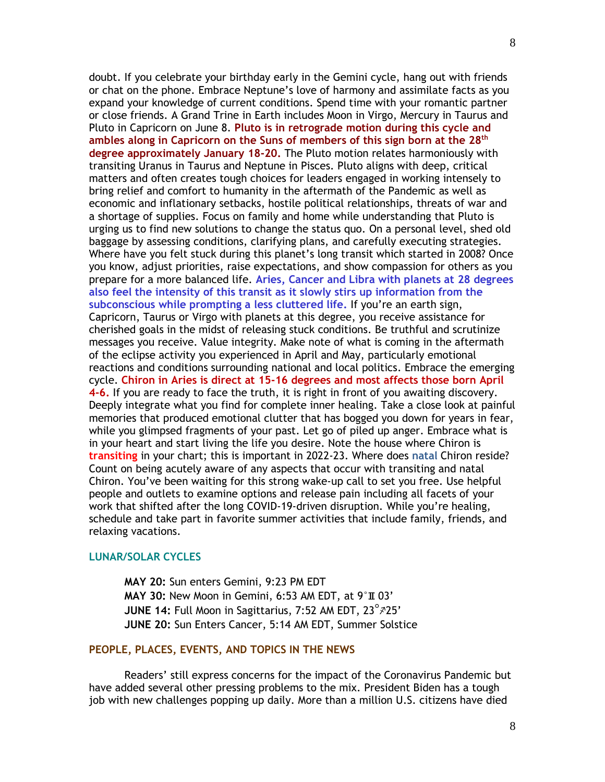doubt. If you celebrate your birthday early in the Gemini cycle, hang out with friends or chat on the phone. Embrace Neptune's love of harmony and assimilate facts as you expand your knowledge of current conditions. Spend time with your romantic partner or close friends. A Grand Trine in Earth includes Moon in Virgo, Mercury in Taurus and Pluto in Capricorn on June 8. **Pluto is in retrograde motion during this cycle and ambles along in Capricorn on the Suns of members of this sign born at the 28 th degree approximately January 18-20.** The Pluto motion relates harmoniously with transiting Uranus in Taurus and Neptune in Pisces. Pluto aligns with deep, critical matters and often creates tough choices for leaders engaged in working intensely to bring relief and comfort to humanity in the aftermath of the Pandemic as well as economic and inflationary setbacks, hostile political relationships, threats of war and a shortage of supplies. Focus on family and home while understanding that Pluto is urging us to find new solutions to change the status quo. On a personal level, shed old baggage by assessing conditions, clarifying plans, and carefully executing strategies. Where have you felt stuck during this planet's long transit which started in 2008? Once you know, adjust priorities, raise expectations, and show compassion for others as you prepare for a more balanced life. **Aries, Cancer and Libra with planets at 28 degrees also feel the intensity of this transit as it slowly stirs up information from the subconscious while prompting a less cluttered life.** If you're an earth sign, Capricorn, Taurus or Virgo with planets at this degree, you receive assistance for cherished goals in the midst of releasing stuck conditions. Be truthful and scrutinize messages you receive. Value integrity. Make note of what is coming in the aftermath of the eclipse activity you experienced in April and May, particularly emotional reactions and conditions surrounding national and local politics. Embrace the emerging cycle. **Chiron in Aries is direct at 15-16 degrees and most affects those born April 4-6.** If you are ready to face the truth, it is right in front of you awaiting discovery. Deeply integrate what you find for complete inner healing. Take a close look at painful memories that produced emotional clutter that has bogged you down for years in fear, while you glimpsed fragments of your past. Let go of piled up anger. Embrace what is in your heart and start living the life you desire. Note the house where Chiron is **transiting** in your chart; this is important in 2022-23. Where does **natal** Chiron reside? Count on being acutely aware of any aspects that occur with transiting and natal Chiron. You've been waiting for this strong wake-up call to set you free. Use helpful people and outlets to examine options and release pain including all facets of your work that shifted after the long COVID-19-driven disruption. While you're healing, schedule and take part in favorite summer activities that include family, friends, and relaxing vacations.

### **LUNAR/SOLAR CYCLES**

**MAY 20:** Sun enters Gemini, 9:23 PM EDT **MAY 30:** New Moon in Gemini, 6:53 AM EDT, at 9°T 03' **JUNE 14: Full Moon in Sagittarius, 7:52 AM EDT, 23°725' JUNE 20:** Sun Enters Cancer, 5:14 AM EDT, Summer Solstice

### **PEOPLE, PLACES, EVENTS, AND TOPICS IN THE NEWS**

Readers' still express concerns for the impact of the Coronavirus Pandemic but have added several other pressing problems to the mix. President Biden has a tough job with new challenges popping up daily. More than a million U.S. citizens have died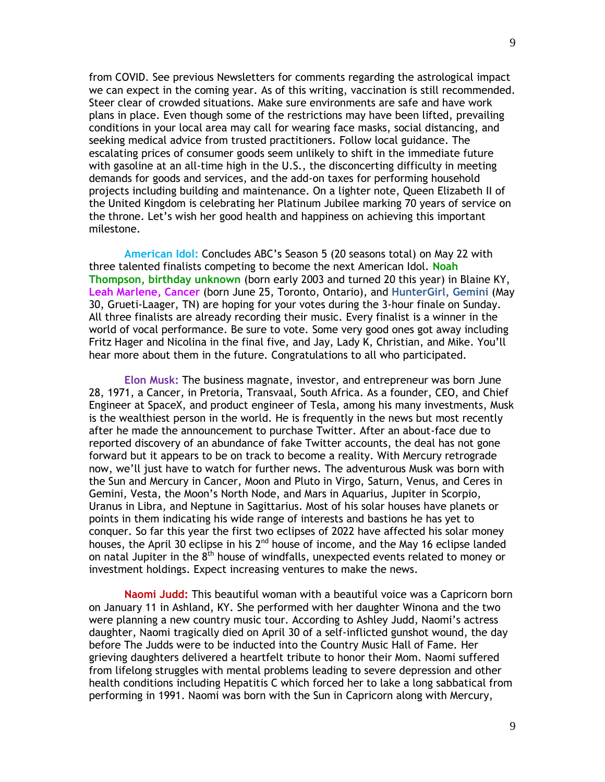from COVID. See previous Newsletters for comments regarding the astrological impact we can expect in the coming year. As of this writing, vaccination is still recommended. Steer clear of crowded situations. Make sure environments are safe and have work plans in place. Even though some of the restrictions may have been lifted, prevailing conditions in your local area may call for wearing face masks, social distancing, and seeking medical advice from trusted practitioners. Follow local guidance. The escalating prices of consumer goods seem unlikely to shift in the immediate future with gasoline at an all-time high in the U.S., the disconcerting difficulty in meeting demands for goods and services, and the add-on taxes for performing household projects including building and maintenance. On a lighter note, Queen Elizabeth II of the United Kingdom is celebrating her Platinum Jubilee marking 70 years of service on the throne. Let's wish her good health and happiness on achieving this important milestone.

**American Idol:** Concludes ABC's Season 5 (20 seasons total) on May 22 with three talented finalists competing to become the next American Idol. **Noah Thompson, birthday unknown** (born early 2003 and turned 20 this year) in Blaine KY, **Leah Marlene, Cancer** (born June 25, Toronto, Ontario), and **HunterGirl, Gemini** (May 30, Grueti-Laager, TN) are hoping for your votes during the 3-hour finale on Sunday. All three finalists are already recording their music. Every finalist is a winner in the world of vocal performance. Be sure to vote. Some very good ones got away including Fritz Hager and Nicolina in the final five, and Jay, Lady K, Christian, and Mike. You'll hear more about them in the future. Congratulations to all who participated.

**Elon Musk:** The business magnate, investor, and entrepreneur was born June 28, 1971, a Cancer, in Pretoria, Transvaal, South Africa. As a founder, CEO, and Chief Engineer at SpaceX, and product engineer of Tesla, among his many investments, Musk is the wealthiest person in the world. He is frequently in the news but most recently after he made the announcement to purchase Twitter. After an about-face due to reported discovery of an abundance of fake Twitter accounts, the deal has not gone forward but it appears to be on track to become a reality. With Mercury retrograde now, we'll just have to watch for further news. The adventurous Musk was born with the Sun and Mercury in Cancer, Moon and Pluto in Virgo, Saturn, Venus, and Ceres in Gemini, Vesta, the Moon's North Node, and Mars in Aquarius, Jupiter in Scorpio, Uranus in Libra, and Neptune in Sagittarius. Most of his solar houses have planets or points in them indicating his wide range of interests and bastions he has yet to conquer. So far this year the first two eclipses of 2022 have affected his solar money houses, the April 30 eclipse in his  $2^{nd}$  house of income, and the May 16 eclipse landed on natal Jupiter in the  $8<sup>th</sup>$  house of windfalls, unexpected events related to money or investment holdings. Expect increasing ventures to make the news.

**Naomi Judd:** This beautiful woman with a beautiful voice was a Capricorn born on January 11 in Ashland, KY. She performed with her daughter Winona and the two were planning a new country music tour. According to Ashley Judd, Naomi's actress daughter, Naomi tragically died on April 30 of a self-inflicted gunshot wound, the day before The Judds were to be inducted into the Country Music Hall of Fame. Her grieving daughters delivered a heartfelt tribute to honor their Mom. Naomi suffered from lifelong struggles with mental problems leading to severe depression and other health conditions including Hepatitis C which forced her to lake a long sabbatical from performing in 1991. Naomi was born with the Sun in Capricorn along with Mercury,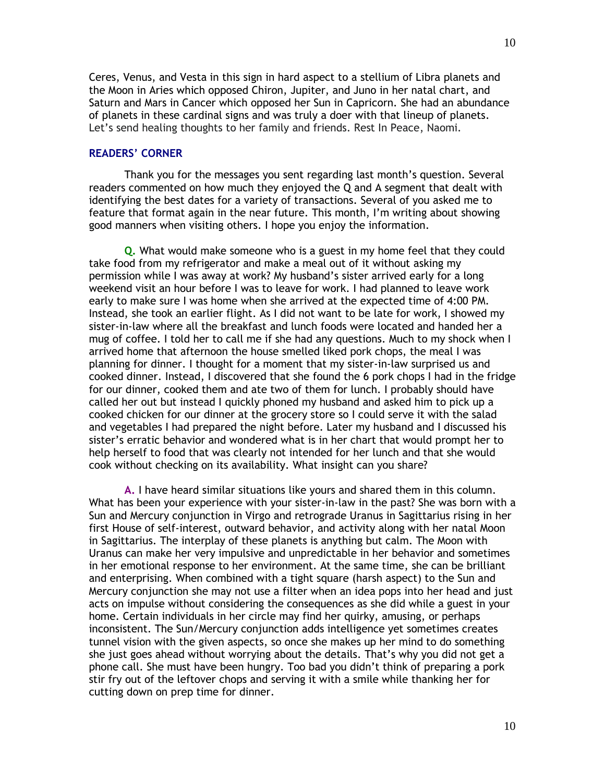Ceres, Venus, and Vesta in this sign in hard aspect to a stellium of Libra planets and the Moon in Aries which opposed Chiron, Jupiter, and Juno in her natal chart, and Saturn and Mars in Cancer which opposed her Sun in Capricorn. She had an abundance of planets in these cardinal signs and was truly a doer with that lineup of planets. Let's send healing thoughts to her family and friends. Rest In Peace, Naomi.

#### **READERS' CORNER**

Thank you for the messages you sent regarding last month's question. Several readers commented on how much they enjoyed the Q and A segment that dealt with identifying the best dates for a variety of transactions. Several of you asked me to feature that format again in the near future. This month, I'm writing about showing good manners when visiting others. I hope you enjoy the information.

**Q.** What would make someone who is a guest in my home feel that they could take food from my refrigerator and make a meal out of it without asking my permission while I was away at work? My husband's sister arrived early for a long weekend visit an hour before I was to leave for work. I had planned to leave work early to make sure I was home when she arrived at the expected time of 4:00 PM. Instead, she took an earlier flight. As I did not want to be late for work, I showed my sister-in-law where all the breakfast and lunch foods were located and handed her a mug of coffee. I told her to call me if she had any questions. Much to my shock when I arrived home that afternoon the house smelled liked pork chops, the meal I was planning for dinner. I thought for a moment that my sister-in-law surprised us and cooked dinner. Instead, I discovered that she found the 6 pork chops I had in the fridge for our dinner, cooked them and ate two of them for lunch. I probably should have called her out but instead I quickly phoned my husband and asked him to pick up a cooked chicken for our dinner at the grocery store so I could serve it with the salad and vegetables I had prepared the night before. Later my husband and I discussed his sister's erratic behavior and wondered what is in her chart that would prompt her to help herself to food that was clearly not intended for her lunch and that she would cook without checking on its availability. What insight can you share?

**A.** I have heard similar situations like yours and shared them in this column. What has been your experience with your sister-in-law in the past? She was born with a Sun and Mercury conjunction in Virgo and retrograde Uranus in Sagittarius rising in her first House of self-interest, outward behavior, and activity along with her natal Moon in Sagittarius. The interplay of these planets is anything but calm. The Moon with Uranus can make her very impulsive and unpredictable in her behavior and sometimes in her emotional response to her environment. At the same time, she can be brilliant and enterprising. When combined with a tight square (harsh aspect) to the Sun and Mercury conjunction she may not use a filter when an idea pops into her head and just acts on impulse without considering the consequences as she did while a guest in your home. Certain individuals in her circle may find her quirky, amusing, or perhaps inconsistent. The Sun/Mercury conjunction adds intelligence yet sometimes creates tunnel vision with the given aspects, so once she makes up her mind to do something she just goes ahead without worrying about the details. That's why you did not get a phone call. She must have been hungry. Too bad you didn't think of preparing a pork stir fry out of the leftover chops and serving it with a smile while thanking her for cutting down on prep time for dinner.